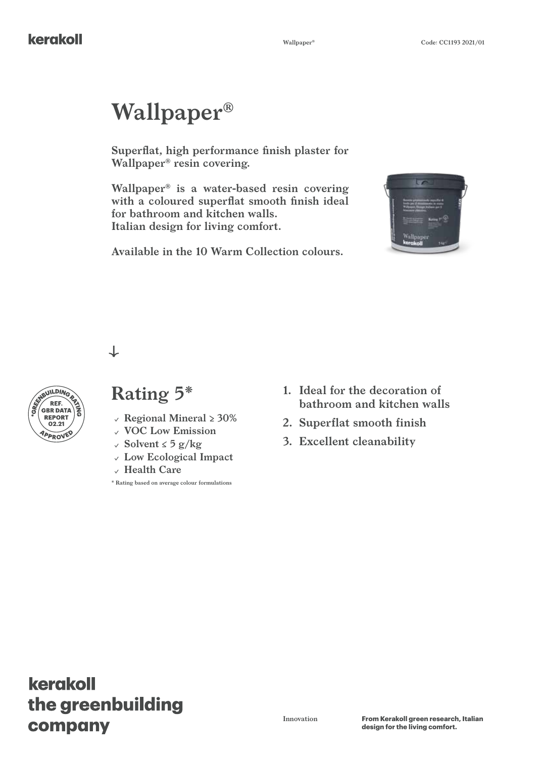# **Wallpaper®**

**Superflat, high performance finish plaster for Wallpaper® resin covering.**

**Wallpaper® is a water-based resin covering with a coloured superflat smooth finish ideal for bathroom and kitchen walls. Italian design for living comfort.**

**Available in the 10 Warm Collection colours.**



 $\downarrow$ 



## **Rating 5\***

- **EXECT:**<br>**REPORT 3**<br>**CO2.21 Regional Mineral ≥ 30%** 
	- **VOC Low Emission**
	- **Solvent ≤ 5 g/kg**
	- **Low Ecological Impact**
	- **Health Care**

**\* Rating based on average colour formulations**

- **1. Ideal for the decoration of bathroom and kitchen walls**
- **2. Superflat smooth finish**
- **3. Excellent cleanability**

## kerakoll the greenbuilding company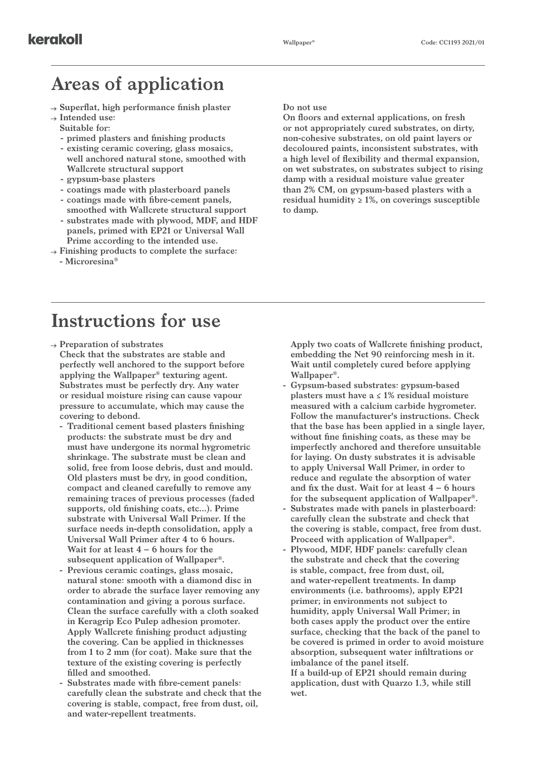### **Areas of application**

- **Superflat, high performance finish plaster**
- **Intended use:**
	- **Suitable for:**
	- **- primed plasters and finishing products**
	- **- existing ceramic covering, glass mosaics, well anchored natural stone, smoothed with Wallcrete structural support**
	- **- gypsum-base plasters**
	- **- coatings made with plasterboard panels**
	- **- coatings made with fibre-cement panels, smoothed with Wallcrete structural support**
	- **- substrates made with plywood, MDF, and HDF panels, primed with EP21 or Universal Wall Prime according to the intended use.**
- **Finishing products to complete the surface: - Microresina®**

**Do not use**

**On floors and external applications, on fresh or not appropriately cured substrates, on dirty, non-cohesive substrates, on old paint layers or decoloured paints, inconsistent substrates, with a high level of flexibility and thermal expansion, on wet substrates, on substrates subject to rising damp with a residual moisture value greater than 2% CM, on gypsum-based plasters with a residual humidity ≥ 1%, on coverings susceptible to damp.**

#### **Instructions for use**

**Preparation of substrates**

**Check that the substrates are stable and perfectly well anchored to the support before applying the Wallpaper® texturing agent. Substrates must be perfectly dry. Any water or residual moisture rising can cause vapour pressure to accumulate, which may cause the covering to debond.**

- **- Traditional cement based plasters finishing products: the substrate must be dry and must have undergone its normal hygrometric shrinkage. The substrate must be clean and solid, free from loose debris, dust and mould. Old plasters must be dry, in good condition, compact and cleaned carefully to remove any remaining traces of previous processes (faded supports, old finishing coats, etc...). Prime substrate with Universal Wall Primer. If the surface needs in-depth consolidation, apply a Universal Wall Primer after 4 to 6 hours. Wait for at least 4 – 6 hours for the subsequent application of Wallpaper®.**
- **- Previous ceramic coatings, glass mosaic, natural stone: smooth with a diamond disc in order to abrade the surface layer removing any contamination and giving a porous surface. Clean the surface carefully with a cloth soaked in Keragrip Eco Pulep adhesion promoter. Apply Wallcrete finishing product adjusting the covering. Can be applied in thicknesses from 1 to 2 mm (for coat). Make sure that the texture of the existing covering is perfectly filled and smoothed.**
- **- Substrates made with fibre-cement panels: carefully clean the substrate and check that the covering is stable, compact, free from dust, oil, and water-repellent treatments.**

**Apply two coats of Wallcrete finishing product, embedding the Net 90 reinforcing mesh in it. Wait until completely cured before applying Wallpaper®.**

- **- Gypsum-based substrates: gypsum-based plasters must have a ≤ 1% residual moisture measured with a calcium carbide hygrometer. Follow the manufacturer's instructions. Check that the base has been applied in a single layer, without fine finishing coats, as these may be imperfectly anchored and therefore unsuitable for laying. On dusty substrates it is advisable to apply Universal Wall Primer, in order to reduce and regulate the absorption of water and fix the dust. Wait for at least 4 – 6 hours for the subsequent application of Wallpaper®.**
- **- Substrates made with panels in plasterboard: carefully clean the substrate and check that the covering is stable, compact, free from dust. Proceed with application of Wallpaper®.**
- **- Plywood, MDF, HDF panels: carefully clean the substrate and check that the covering is stable, compact, free from dust, oil, and water-repellent treatments. In damp environments (i.e. bathrooms), apply EP21 primer; in environments not subject to humidity, apply Universal Wall Primer; in both cases apply the product over the entire surface, checking that the back of the panel to be covered is primed in order to avoid moisture absorption, subsequent water infiltrations or imbalance of the panel itself. If a build-up of EP21 should remain during application, dust with Quarzo 1.3, while still wet.**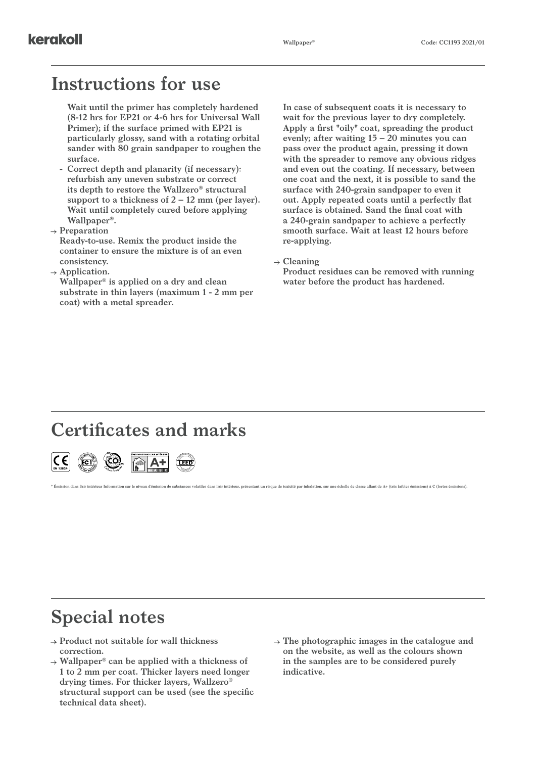### **Instructions for use**

**Wait until the primer has completely hardened (8-12 hrs for EP21 or 4-6 hrs for Universal Wall Primer); if the surface primed with EP21 is particularly glossy, sand with a rotating orbital sander with 80 grain sandpaper to roughen the surface.**

- **- Correct depth and planarity (if necessary): refurbish any uneven substrate or correct its depth to restore the Wallzero® structural support to a thickness of 2 – 12 mm (per layer). Wait until completely cured before applying Wallpaper®.**
- **Preparation**

**Ready-to-use. Remix the product inside the container to ensure the mixture is of an even consistency.**

**Application.**

**Wallpaper® is applied on a dry and clean substrate in thin layers (maximum 1 - 2 mm per coat) with a metal spreader.** 

**In case of subsequent coats it is necessary to wait for the previous layer to dry completely. Apply a first "oily" coat, spreading the product evenly; after waiting 15 – 20 minutes you can pass over the product again, pressing it down with the spreader to remove any obvious ridges and even out the coating. If necessary, between one coat and the next, it is possible to sand the surface with 240-grain sandpaper to even it out. Apply repeated coats until a perfectly flat surface is obtained. Sand the final coat with a 240-grain sandpaper to achieve a perfectly smooth surface. Wait at least 12 hours before re-applying.**

**Cleaning**

\* Émission dans l'air intérieur Information sur le niveau d'émission de substances volatiles dans l'air intérieur, présentant un risque de toxicité par inhalation, sur une échelle de classe allant de A+ (très faibles émis

**Product residues can be removed with running water before the product has hardened.**

#### **Certificates and marks**



## **Special notes**

- **Product not suitable for wall thickness correction.**
- **Wallpaper® can be applied with a thickness of 1 to 2 mm per coat. Thicker layers need longer drying times. For thicker layers, Wallzero® structural support can be used (see the specific technical data sheet).**
- **The photographic images in the catalogue and on the website, as well as the colours shown in the samples are to be considered purely indicative.**